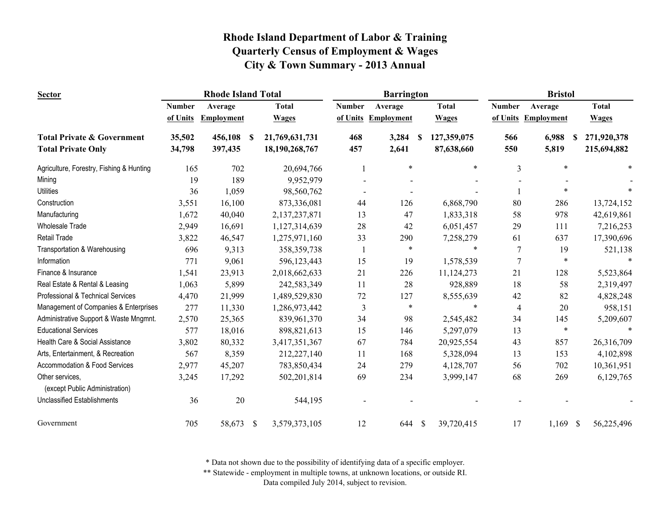| <b>Sector</b>                                     |               | <b>Rhode Island Total</b> |               |                |               | <b>Barrington</b>   |              |              |                | <b>Bristol</b>      |              |
|---------------------------------------------------|---------------|---------------------------|---------------|----------------|---------------|---------------------|--------------|--------------|----------------|---------------------|--------------|
|                                                   | <b>Number</b> | Average                   |               | <b>Total</b>   | <b>Number</b> | Average             |              | <b>Total</b> | <b>Number</b>  | Average             | <b>Total</b> |
|                                                   | of Units      | <b>Employment</b>         |               | <b>Wages</b>   |               | of Units Employment |              | <b>Wages</b> |                | of Units Employment | <b>Wages</b> |
| <b>Total Private &amp; Government</b>             | 35,502        | 456,108                   | -S            | 21,769,631,731 | 468           | 3,284               | -S           | 127,359,075  | 566            | 6,988<br>S.         | 271,920,378  |
| <b>Total Private Only</b>                         | 34,798        | 397,435                   |               | 18,190,268,767 | 457           | 2,641               |              | 87,638,660   | 550            | 5,819               | 215,694,882  |
| Agriculture, Forestry, Fishing & Hunting          | 165           | 702                       |               | 20,694,766     | 1             | $\ast$              |              | $\ast$       | 3              | $\ast$              |              |
| Mining                                            | 19            | 189                       |               | 9,952,979      |               |                     |              |              |                |                     |              |
| <b>Utilities</b>                                  | 36            | 1,059                     |               | 98,560,762     |               |                     |              |              |                | $\ast$              |              |
| Construction                                      | 3,551         | 16,100                    |               | 873,336,081    | 44            | 126                 |              | 6,868,790    | 80             | 286                 | 13,724,152   |
| Manufacturing                                     | 1,672         | 40,040                    |               | 2,137,237,871  | 13            | 47                  |              | 1,833,318    | 58             | 978                 | 42,619,861   |
| <b>Wholesale Trade</b>                            | 2,949         | 16,691                    |               | 1,127,314,639  | 28            | 42                  |              | 6,051,457    | 29             | 111                 | 7,216,253    |
| <b>Retail Trade</b>                               | 3,822         | 46,547                    |               | 1,275,971,160  | 33            | 290                 |              | 7,258,279    | 61             | 637                 | 17,390,696   |
| Transportation & Warehousing                      | 696           | 9,313                     |               | 358, 359, 738  |               | $\ast$              |              | $\ast$       | 7              | 19                  | 521,138      |
| Information                                       | 771           | 9,061                     |               | 596,123,443    | 15            | 19                  |              | 1,578,539    | $\overline{7}$ | $\ast$              |              |
| Finance & Insurance                               | 1,541         | 23,913                    |               | 2,018,662,633  | 21            | 226                 |              | 11,124,273   | 21             | 128                 | 5,523,864    |
| Real Estate & Rental & Leasing                    | 1,063         | 5,899                     |               | 242,583,349    | 11            | 28                  |              | 928,889      | 18             | 58                  | 2,319,497    |
| Professional & Technical Services                 | 4,470         | 21,999                    |               | 1,489,529,830  | 72            | 127                 |              | 8,555,639    | 42             | 82                  | 4,828,248    |
| Management of Companies & Enterprises             | 277           | 11,330                    |               | 1,286,973,442  | 3             | $\ast$              |              | $\ast$       | 4              | 20                  | 958,151      |
| Administrative Support & Waste Mngmnt.            | 2,570         | 25,365                    |               | 839,961,370    | 34            | 98                  |              | 2,545,482    | 34             | 145                 | 5,209,607    |
| <b>Educational Services</b>                       | 577           | 18,016                    |               | 898,821,613    | 15            | 146                 |              | 5,297,079    | 13             | $\ast$              |              |
| Health Care & Social Assistance                   | 3,802         | 80,332                    |               | 3,417,351,367  | 67            | 784                 |              | 20,925,554   | 43             | 857                 | 26,316,709   |
| Arts, Entertainment, & Recreation                 | 567           | 8,359                     |               | 212,227,140    | 11            | 168                 |              | 5,328,094    | 13             | 153                 | 4,102,898    |
| Accommodation & Food Services                     | 2,977         | 45,207                    |               | 783,850,434    | 24            | 279                 |              | 4,128,707    | 56             | 702                 | 10,361,951   |
| Other services,<br>(except Public Administration) | 3,245         | 17,292                    |               | 502,201,814    | 69            | 234                 |              | 3,999,147    | 68             | 269                 | 6,129,765    |
| <b>Unclassified Establishments</b>                | 36            | 20                        |               | 544,195        |               |                     |              |              |                |                     |              |
| Government                                        | 705           | 58,673                    | $\mathcal{S}$ | 3,579,373,105  | 12            | 644                 | $\mathbb{S}$ | 39,720,415   | 17             | $1,169$ \$          | 56,225,496   |

\* Data not shown due to the possibility of identifying data of a specific employer.

\*\* Statewide - employment in multiple towns, at unknown locations, or outside RI.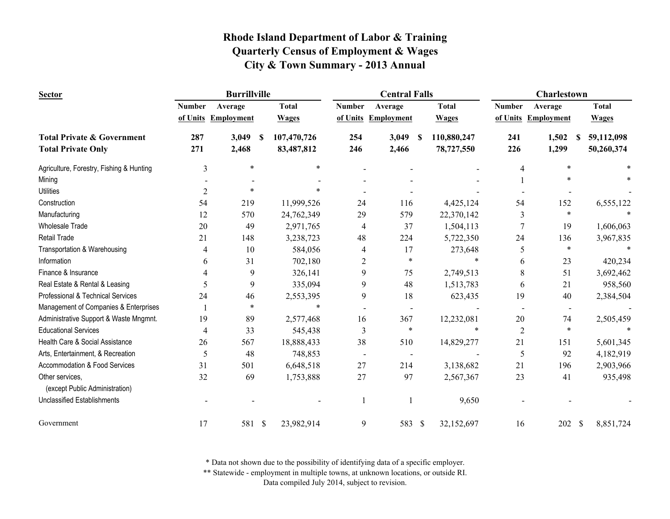| <b>Sector</b>                                     |                | <b>Burrillville</b>   |              |                          | <b>Central Falls</b> |                     |                | Charlestown               |              |
|---------------------------------------------------|----------------|-----------------------|--------------|--------------------------|----------------------|---------------------|----------------|---------------------------|--------------|
|                                                   | <b>Number</b>  | Average               | <b>Total</b> | <b>Number</b>            | Average              | <b>Total</b>        | <b>Number</b>  | Average                   | <b>Total</b> |
|                                                   |                | of Units Employment   | <b>Wages</b> |                          | of Units Employment  | <b>Wages</b>        |                | of Units Employment       | <b>Wages</b> |
| <b>Total Private &amp; Government</b>             | 287            | 3,049<br><sup>S</sup> | 107,470,726  | 254                      | 3,049                | 110,880,247<br>- \$ | 241            | 1,502<br>-S               | 59,112,098   |
| <b>Total Private Only</b>                         | 271            | 2,468                 | 83,487,812   | 246                      | 2,466                | 78,727,550          | 226            | 1,299                     | 50,260,374   |
| Agriculture, Forestry, Fishing & Hunting          | 3              | $\ast$                | $\ast$       |                          |                      |                     | 4              | $\ast$                    |              |
| Mining                                            |                |                       |              |                          |                      |                     |                |                           |              |
| <b>Utilities</b>                                  | $\overline{c}$ | $\ast$                |              |                          |                      |                     |                |                           |              |
| Construction                                      | 54             | 219                   | 11,999,526   | 24                       | 116                  | 4,425,124           | 54             | 152                       | 6,555,122    |
| Manufacturing                                     | 12             | 570                   | 24,762,349   | 29                       | 579                  | 22,370,142          | 3              | $\ast$                    |              |
| <b>Wholesale Trade</b>                            | 20             | 49                    | 2,971,765    | 4                        | 37                   | 1,504,113           | $\overline{7}$ | 19                        | 1,606,063    |
| <b>Retail Trade</b>                               | 21             | 148                   | 3,238,723    | 48                       | 224                  | 5,722,350           | 24             | 136                       | 3,967,835    |
| Transportation & Warehousing                      | 4              | 10                    | 584,056      | 4                        | 17                   | 273,648             | 5              | $\ast$                    |              |
| Information                                       | 6              | 31                    | 702,180      | $\overline{c}$           | $\ast$               |                     | 6              | 23                        | 420,234      |
| Finance & Insurance                               | 4              | 9                     | 326,141      | 9                        | 75                   | 2,749,513           | 8              | 51                        | 3,692,462    |
| Real Estate & Rental & Leasing                    | 5              | 9                     | 335,094      | 9                        | 48                   | 1,513,783           | 6              | 21                        | 958,560      |
| Professional & Technical Services                 | 24             | 46                    | 2,553,395    | 9                        | 18                   | 623,435             | 19             | 40                        | 2,384,504    |
| Management of Companies & Enterprises             |                | $\ast$                | $\ast$       |                          |                      |                     |                | $\overline{\phantom{a}}$  |              |
| Administrative Support & Waste Mngmnt.            | 19             | 89                    | 2,577,468    | 16                       | 367                  | 12,232,081          | 20             | 74                        | 2,505,459    |
| <b>Educational Services</b>                       | 4              | 33                    | 545,438      | 3                        | $\ast$               | $\ast$              | $\overline{2}$ | $\ast$                    |              |
| Health Care & Social Assistance                   | 26             | 567                   | 18,888,433   | 38                       | 510                  | 14,829,277          | 21             | 151                       | 5,601,345    |
| Arts, Entertainment, & Recreation                 | 5              | 48                    | 748,853      | $\overline{\phantom{a}}$ |                      |                     | 5              | 92                        | 4,182,919    |
| Accommodation & Food Services                     | 31             | 501                   | 6,648,518    | 27                       | 214                  | 3,138,682           | 21             | 196                       | 2,903,966    |
| Other services,<br>(except Public Administration) | 32             | 69                    | 1,753,888    | 27                       | 97                   | 2,567,367           | 23             | 41                        | 935,498      |
| <b>Unclassified Establishments</b>                |                |                       |              |                          |                      | 9,650               |                |                           |              |
| Government                                        | 17             | 581 \$                | 23,982,914   | 9                        | 583 \$               | 32,152,697          | 16             | 202<br>$\mathbf{\hat{s}}$ | 8,851,724    |

\* Data not shown due to the possibility of identifying data of a specific employer.

\*\* Statewide - employment in multiple towns, at unknown locations, or outside RI.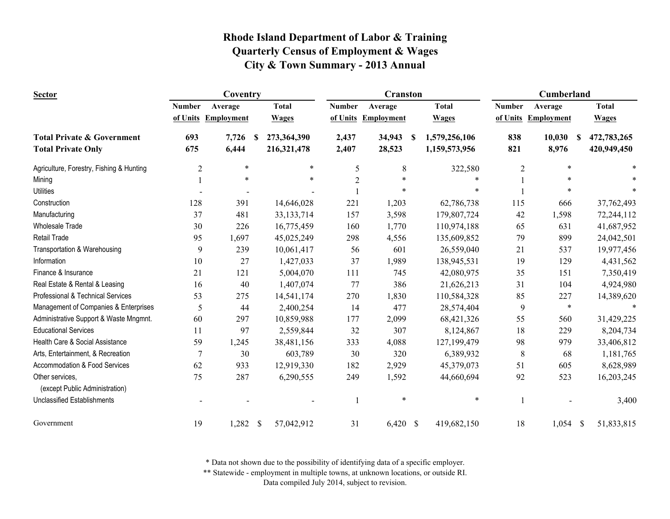| <b>Sector</b>                                                      |                | Coventry            |    |                            |                | <b>Cranston</b>     |   |                                | Cumberland    |                      |  |                            |
|--------------------------------------------------------------------|----------------|---------------------|----|----------------------------|----------------|---------------------|---|--------------------------------|---------------|----------------------|--|----------------------------|
|                                                                    | <b>Number</b>  | Average             |    | <b>Total</b>               | <b>Number</b>  | Average             |   | <b>Total</b>                   | <b>Number</b> | Average              |  | <b>Total</b>               |
|                                                                    |                | of Units Employment |    | <b>Wages</b>               |                | of Units Employment |   | <b>Wages</b>                   |               | of Units Employment  |  | <b>Wages</b>               |
| <b>Total Private &amp; Government</b><br><b>Total Private Only</b> | 693<br>675     | 7,726<br>6,444      | -S | 273,364,390<br>216,321,478 | 2,437<br>2,407 | 34,943<br>28,523    | S | 1,579,256,106<br>1,159,573,956 | 838<br>821    | 10,030<br>S<br>8,976 |  | 472,783,265<br>420,949,450 |
| Agriculture, Forestry, Fishing & Hunting                           | $\overline{2}$ | $\ast$              |    | $\ast$                     | 5              | 8                   |   | 322,580                        | 2             | $\ast$               |  |                            |
| Mining                                                             |                | $\ast$              |    | $\ast$                     | $\overline{2}$ | $\ast$              |   |                                |               |                      |  |                            |
| <b>Utilities</b>                                                   |                |                     |    |                            |                |                     |   | 火                              |               |                      |  |                            |
| Construction                                                       | 128            | 391                 |    | 14,646,028                 | 221            | 1,203               |   | 62,786,738                     | 115           | 666                  |  | 37,762,493                 |
| Manufacturing                                                      | 37             | 481                 |    | 33, 133, 714               | 157            | 3,598               |   | 179,807,724                    | 42            | 1,598                |  | 72,244,112                 |
| <b>Wholesale Trade</b>                                             | 30             | 226                 |    | 16,775,459                 | 160            | 1,770               |   | 110,974,188                    | 65            | 631                  |  | 41,687,952                 |
| Retail Trade                                                       | 95             | 1,697               |    | 45,025,249                 | 298            | 4,556               |   | 135,609,852                    | 79            | 899                  |  | 24,042,501                 |
| Transportation & Warehousing                                       | 9              | 239                 |    | 10,061,417                 | 56             | 601                 |   | 26,559,040                     | 21            | 537                  |  | 19,977,456                 |
| Information                                                        | 10             | 27                  |    | 1,427,033                  | 37             | 1,989               |   | 138,945,531                    | 19            | 129                  |  | 4,431,562                  |
| Finance & Insurance                                                | 21             | 121                 |    | 5,004,070                  | 111            | 745                 |   | 42,080,975                     | 35            | 151                  |  | 7,350,419                  |
| Real Estate & Rental & Leasing                                     | 16             | 40                  |    | 1,407,074                  | 77             | 386                 |   | 21,626,213                     | 31            | 104                  |  | 4,924,980                  |
| Professional & Technical Services                                  | 53             | 275                 |    | 14,541,174                 | 270            | 1,830               |   | 110,584,328                    | 85            | 227                  |  | 14,389,620                 |
| Management of Companies & Enterprises                              | 5              | 44                  |    | 2,400,254                  | 14             | 477                 |   | 28,574,404                     | 9             | $\ast$               |  |                            |
| Administrative Support & Waste Mngmnt.                             | 60             | 297                 |    | 10,859,988                 | 177            | 2,099               |   | 68,421,326                     | 55            | 560                  |  | 31,429,225                 |
| <b>Educational Services</b>                                        | 11             | 97                  |    | 2,559,844                  | 32             | 307                 |   | 8,124,867                      | 18            | 229                  |  | 8,204,734                  |
| Health Care & Social Assistance                                    | 59             | 1,245               |    | 38,481,156                 | 333            | 4,088               |   | 127,199,479                    | 98            | 979                  |  | 33,406,812                 |
| Arts, Entertainment, & Recreation                                  | $\overline{7}$ | 30                  |    | 603,789                    | 30             | 320                 |   | 6,389,932                      | 8             | 68                   |  | 1,181,765                  |
| Accommodation & Food Services                                      | 62             | 933                 |    | 12,919,330                 | 182            | 2,929               |   | 45,379,073                     | 51            | 605                  |  | 8,628,989                  |
| Other services,<br>(except Public Administration)                  | 75             | 287                 |    | 6,290,555                  | 249            | 1,592               |   | 44,660,694                     | 92            | 523                  |  | 16,203,245                 |
| <b>Unclassified Establishments</b>                                 |                |                     |    |                            |                | $\ast$              |   | $\ast$                         |               |                      |  | 3,400                      |
| Government                                                         | 19             | $1,282$ \$          |    | 57,042,912                 | 31             | $6,420$ \$          |   | 419,682,150                    | 18            | $1,054$ \$           |  | 51,833,815                 |

\* Data not shown due to the possibility of identifying data of a specific employer.

\*\* Statewide - employment in multiple towns, at unknown locations, or outside RI.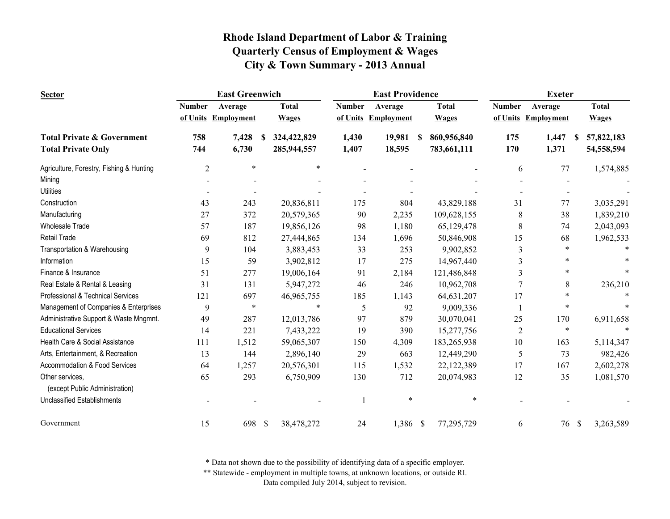| <b>Sector</b>                            |                | <b>East Greenwich</b> |                    |               | <b>East Providence</b> |                  |               | <b>Exeter</b>       |                 |
|------------------------------------------|----------------|-----------------------|--------------------|---------------|------------------------|------------------|---------------|---------------------|-----------------|
|                                          | <b>Number</b>  | Average               | <b>Total</b>       | <b>Number</b> | Average                | <b>Total</b>     | <b>Number</b> | Average             | <b>Total</b>    |
|                                          |                | of Units Employment   | <b>Wages</b>       | of Units      | Employment             | <b>Wages</b>     |               | of Units Employment | <b>Wages</b>    |
| <b>Total Private &amp; Government</b>    | 758            | 7,428                 | 324,422,829<br>S   | 1,430         | 19,981                 | 860,956,840<br>S | 175           | 1,447<br>-S         | 57,822,183      |
| <b>Total Private Only</b>                | 744            | 6,730                 | 285,944,557        | 1,407         | 18,595                 | 783,661,111      | 170           | 1,371               | 54,558,594      |
| Agriculture, Forestry, Fishing & Hunting | $\overline{2}$ | $\ast$                | $\ast$             |               |                        |                  | 6             | 77                  | 1,574,885       |
| Mining                                   |                |                       |                    |               |                        |                  |               |                     |                 |
| <b>Utilities</b>                         |                |                       |                    |               |                        |                  |               |                     |                 |
| Construction                             | 43             | 243                   | 20,836,811         | 175           | 804                    | 43,829,188       | 31            | 77                  | 3,035,291       |
| Manufacturing                            | 27             | 372                   | 20,579,365         | 90            | 2,235                  | 109,628,155      | 8             | 38                  | 1,839,210       |
| <b>Wholesale Trade</b>                   | 57             | 187                   | 19,856,126         | 98            | 1,180                  | 65,129,478       | 8             | 74                  | 2,043,093       |
| Retail Trade                             | 69             | 812                   | 27,444,865         | 134           | 1,696                  | 50,846,908       | 15            | 68                  | 1,962,533       |
| Transportation & Warehousing             | 9              | 104                   | 3,883,453          | 33            | 253                    | 9,902,852        | 3             | $\ast$              |                 |
| Information                              | 15             | 59                    | 3,902,812          | 17            | 275                    | 14,967,440       | 3             | $\ast$              |                 |
| Finance & Insurance                      | 51             | 277                   | 19,006,164         | 91            | 2,184                  | 121,486,848      | 3             |                     |                 |
| Real Estate & Rental & Leasing           | 31             | 131                   | 5,947,272          | 46            | 246                    | 10,962,708       | 7             | 8                   | 236,210         |
| Professional & Technical Services        | 121            | 697                   | 46,965,755         | 185           | 1,143                  | 64,631,207       | 17            |                     |                 |
| Management of Companies & Enterprises    | 9              | $\ast$                | $\ast$             | 5             | 92                     | 9,009,336        |               | $\ast$              |                 |
| Administrative Support & Waste Mngmnt.   | 49             | 287                   | 12,013,786         | 97            | 879                    | 30,070,041       | 25            | 170                 | 6,911,658       |
| <b>Educational Services</b>              | 14             | 221                   | 7,433,222          | 19            | 390                    | 15,277,756       | 2             | $\ast$              |                 |
| Health Care & Social Assistance          | 111            | 1,512                 | 59,065,307         | 150           | 4,309                  | 183,265,938      | 10            | 163                 | 5,114,347       |
| Arts, Entertainment, & Recreation        | 13             | 144                   | 2,896,140          | 29            | 663                    | 12,449,290       | 5             | 73                  | 982,426         |
| <b>Accommodation &amp; Food Services</b> | 64             | 1,257                 | 20,576,301         | 115           | 1,532                  | 22,122,389       | 17            | 167                 | 2,602,278       |
| Other services,                          | 65             | 293                   | 6,750,909          | 130           | 712                    | 20,074,983       | 12            | 35                  | 1,081,570       |
| (except Public Administration)           |                |                       |                    |               |                        |                  |               |                     |                 |
| <b>Unclassified Establishments</b>       |                |                       |                    |               | $\ast$                 | *                |               |                     |                 |
| Government                               | 15             | 698                   | - \$<br>38,478,272 | 24            | 1,386 \$               | 77,295,729       | 6             | 76                  | 3,263,589<br>\$ |

\* Data not shown due to the possibility of identifying data of a specific employer.

\*\* Statewide - employment in multiple towns, at unknown locations, or outside RI.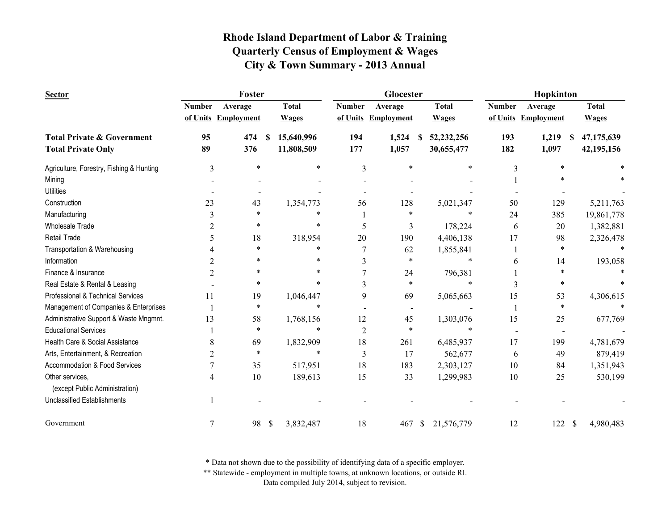| <b>Sector</b>                                     |                | Foster            |          |              |                | Glocester           |                            |               | Hopkinton         |                          |
|---------------------------------------------------|----------------|-------------------|----------|--------------|----------------|---------------------|----------------------------|---------------|-------------------|--------------------------|
|                                                   | <b>Number</b>  | Average           |          | <b>Total</b> | <b>Number</b>  | Average             | <b>Total</b>               | <b>Number</b> | Average           | <b>Total</b>             |
|                                                   | of Units       | <b>Employment</b> |          | <b>Wages</b> |                | of Units Employment | <b>Wages</b>               | of Units      | <b>Employment</b> | <b>Wages</b>             |
| <b>Total Private &amp; Government</b>             | 95             | 474               | <b>S</b> | 15,640,996   | 194            | 1,524               | 52,232,256<br>\$.          | 193           | 1,219<br>-S       | 47,175,639               |
| <b>Total Private Only</b>                         | 89             | 376               |          | 11,808,509   | 177            | 1,057               | 30,655,477                 | 182           | 1,097             | 42,195,156               |
| Agriculture, Forestry, Fishing & Hunting          | 3              | $\ast$            |          | $\ast$       | 3              | $\ast$              | $\ast$                     | 3             | $\ast$            |                          |
| Mining                                            |                |                   |          |              |                |                     |                            |               |                   |                          |
| <b>Utilities</b>                                  |                |                   |          |              |                |                     |                            |               |                   |                          |
| Construction                                      | 23             | 43                |          | 1,354,773    | 56             | 128                 | 5,021,347                  | 50            | 129               | 5,211,763                |
| Manufacturing                                     | 3              | *                 |          | $\ast$       |                | $\ast$              | *                          | 24            | 385               | 19,861,778               |
| <b>Wholesale Trade</b>                            | $\overline{2}$ | $\ast$            |          | $\ast$       | 5              | 3                   | 178,224                    | 6             | 20                | 1,382,881                |
| <b>Retail Trade</b>                               |                | 18                |          | 318,954      | 20             | 190                 | 4,406,138                  | 17            | 98                | 2,326,478                |
| Transportation & Warehousing                      |                | $\ast$            |          | $\ast$       |                | 62                  | 1,855,841                  |               | $\ast$            |                          |
| Information                                       | $\overline{2}$ | $\ast$            |          | $\ast$       | 3              | $\ast$              | $\ast$                     | 6             | 14                | 193,058                  |
| Finance & Insurance                               | $\overline{2}$ | $\ast$            |          | $\ast$       | 7              | 24                  | 796,381                    |               | *                 |                          |
| Real Estate & Rental & Leasing                    |                | $\ast$            |          | $\ast$       | 3              | $\ast$              | $\ast$                     | 3             | *                 |                          |
| Professional & Technical Services                 | 11             | 19                |          | 1,046,447    | 9              | 69                  | 5,065,663                  | 15            | 53                | 4,306,615                |
| Management of Companies & Enterprises             |                | $\ast$            |          | $\ast$       |                |                     |                            |               | $\ast$            |                          |
| Administrative Support & Waste Mngmnt.            | 13             | 58                |          | 1,768,156    | 12             | 45                  | 1,303,076                  | 15            | 25                | 677,769                  |
| <b>Educational Services</b>                       |                | $\ast$            |          | $\ast$       | $\overline{2}$ | $\ast$              | *                          |               |                   |                          |
| Health Care & Social Assistance                   | 8              | 69                |          | 1,832,909    | 18             | 261                 | 6,485,937                  | 17            | 199               | 4,781,679                |
| Arts, Entertainment, & Recreation                 | $\overline{2}$ | $\ast$            |          | $\ast$       | 3              | 17                  | 562,677                    | 6             | 49                | 879,419                  |
| Accommodation & Food Services                     | 7              | 35                |          | 517,951      | 18             | 183                 | 2,303,127                  | 10            | 84                | 1,351,943                |
| Other services,<br>(except Public Administration) | 4              | 10                |          | 189,613      | 15             | 33                  | 1,299,983                  | $10\,$        | 25                | 530,199                  |
| <b>Unclassified Establishments</b>                |                |                   |          |              |                |                     |                            |               |                   |                          |
| Government                                        | 7              | 98                | \$       | 3,832,487    | 18             | 467                 | $\mathbb{S}$<br>21,576,779 | 12            | 122               | $\mathbf S$<br>4,980,483 |

\* Data not shown due to the possibility of identifying data of a specific employer.

\*\* Statewide - employment in multiple towns, at unknown locations, or outside RI.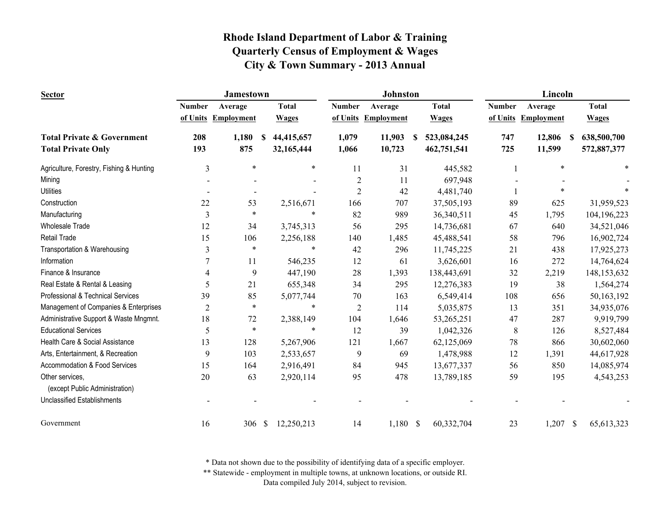| <b>Sector</b>                                     |                | <b>Jamestown</b>       |                            |                | Johnston          |                  |               | Lincoln             |                               |
|---------------------------------------------------|----------------|------------------------|----------------------------|----------------|-------------------|------------------|---------------|---------------------|-------------------------------|
|                                                   | <b>Number</b>  | Average                | <b>Total</b>               | <b>Number</b>  | Average           | <b>Total</b>     | <b>Number</b> | Average             | <b>Total</b>                  |
|                                                   |                | of Units Employment    | <b>Wages</b>               | of Units       | <b>Employment</b> | <b>Wages</b>     |               | of Units Employment | <b>Wages</b>                  |
| <b>Total Private &amp; Government</b>             | 208            | 1,180<br><sup>\$</sup> | 44,415,657                 | 1,079          | 11,903            | 523,084,245<br>S | 747           | 12,806              | 638,500,700<br>S              |
| <b>Total Private Only</b>                         | 193            | 875                    | 32,165,444                 | 1,066          | 10,723            | 462,751,541      | 725           | 11,599              | 572,887,377                   |
| Agriculture, Forestry, Fishing & Hunting          | 3              | $\ast$                 | $\ast$                     | 11             | 31                | 445,582          |               | $\ast$              |                               |
| Mining                                            |                |                        |                            | $\sqrt{2}$     | 11                | 697,948          |               |                     |                               |
| <b>Utilities</b>                                  |                | $\overline{a}$         |                            | $\overline{2}$ | 42                | 4,481,740        |               | *                   |                               |
| Construction                                      | 22             | 53                     | 2,516,671                  | 166            | 707               | 37,505,193       | 89            | 625                 | 31,959,523                    |
| Manufacturing                                     | 3              | $\ast$                 | *                          | 82             | 989               | 36,340,511       | 45            | 1,795               | 104,196,223                   |
| <b>Wholesale Trade</b>                            | 12             | 34                     | 3,745,313                  | 56             | 295               | 14,736,681       | 67            | 640                 | 34,521,046                    |
| <b>Retail Trade</b>                               | 15             | 106                    | 2,256,188                  | 140            | 1,485             | 45,488,541       | 58            | 796                 | 16,902,724                    |
| Transportation & Warehousing                      | 3              | $\ast$                 | $\ast$                     | 42             | 296               | 11,745,225       | 21            | 438                 | 17,925,273                    |
| Information                                       | $\overline{7}$ | 11                     | 546,235                    | 12             | 61                | 3,626,601        | 16            | 272                 | 14,764,624                    |
| Finance & Insurance                               | $\overline{4}$ | 9                      | 447,190                    | 28             | 1,393             | 138,443,691      | 32            | 2,219               | 148, 153, 632                 |
| Real Estate & Rental & Leasing                    | 5              | 21                     | 655,348                    | 34             | 295               | 12,276,383       | 19            | 38                  | 1,564,274                     |
| Professional & Technical Services                 | 39             | 85                     | 5,077,744                  | $70\,$         | 163               | 6,549,414        | 108           | 656                 | 50,163,192                    |
| Management of Companies & Enterprises             | $\overline{2}$ | $\ast$                 | $\ast$                     | $\overline{2}$ | 114               | 5,035,875        | 13            | 351                 | 34,935,076                    |
| Administrative Support & Waste Mngmnt.            | 18             | 72                     | 2,388,149                  | 104            | 1,646             | 53,265,251       | 47            | 287                 | 9,919,799                     |
| <b>Educational Services</b>                       | 5              | $\ast$                 | *                          | 12             | 39                | 1,042,326        | 8             | 126                 | 8,527,484                     |
| Health Care & Social Assistance                   | 13             | 128                    | 5,267,906                  | 121            | 1,667             | 62,125,069       | 78            | 866                 | 30,602,060                    |
| Arts, Entertainment, & Recreation                 | 9              | 103                    | 2,533,657                  | 9              | 69                | 1,478,988        | 12            | 1,391               | 44,617,928                    |
| Accommodation & Food Services                     | 15             | 164                    | 2,916,491                  | 84             | 945               | 13,677,337       | 56            | 850                 | 14,085,974                    |
| Other services,<br>(except Public Administration) | 20             | 63                     | 2,920,114                  | 95             | 478               | 13,789,185       | 59            | 195                 | 4,543,253                     |
| <b>Unclassified Establishments</b>                |                |                        |                            |                |                   |                  |               |                     |                               |
| Government                                        | 16             | 306                    | $\mathbb{S}$<br>12,250,213 | 14             | $1,180$ \$        | 60,332,704       | 23            | 1,207               | $\mathcal{S}$<br>65, 613, 323 |

\* Data not shown due to the possibility of identifying data of a specific employer.

\*\* Statewide - employment in multiple towns, at unknown locations, or outside RI.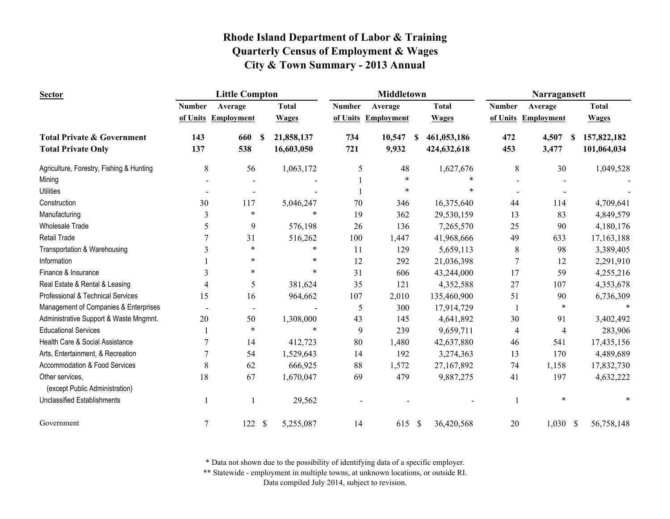| <b>Sector</b>                                     |               | <b>Little Compton</b> |               |              |               | <b>Middletown</b>   |              | Narragansett<br><b>Total</b><br><b>Number</b><br>Average |     |                     |  |              |
|---------------------------------------------------|---------------|-----------------------|---------------|--------------|---------------|---------------------|--------------|----------------------------------------------------------|-----|---------------------|--|--------------|
|                                                   | <b>Number</b> | Average               |               | <b>Total</b> | <b>Number</b> | Average             |              | <b>Total</b>                                             |     |                     |  |              |
|                                                   |               | of Units Employment   |               | <b>Wages</b> |               | of Units Employment |              | <b>Wages</b>                                             |     | of Units Employment |  | <b>Wages</b> |
| <b>Total Private &amp; Government</b>             | 143           | 660                   | <b>S</b>      | 21,858,137   | 734           | 10,547              | S            | 461,053,186                                              | 472 | 4,507<br>\$         |  | 157,822,182  |
| <b>Total Private Only</b>                         | 137           | 538                   |               | 16,603,050   | 721           | 9,932               |              | 424,632,618                                              | 453 | 3,477               |  | 101,064,034  |
| Agriculture, Forestry, Fishing & Hunting          | 8             | 56                    |               | 1,063,172    | 5             | 48                  |              | 1,627,676                                                | 8   | 30                  |  | 1,049,528    |
| Mining                                            |               |                       |               |              |               | $\ast$              |              |                                                          |     |                     |  |              |
| <b>Utilities</b>                                  |               |                       |               |              |               | *                   |              |                                                          |     |                     |  |              |
| Construction                                      | 30            | 117                   |               | 5,046,247    | 70            | 346                 |              | 16,375,640                                               | 44  | 114                 |  | 4,709,641    |
| Manufacturing                                     | 3             | *                     |               | $\ast$       | 19            | 362                 |              | 29,530,159                                               | 13  | 83                  |  | 4,849,579    |
| <b>Wholesale Trade</b>                            | 5             | 9                     |               | 576,198      | 26            | 136                 |              | 7,265,570                                                | 25  | 90                  |  | 4,180,176    |
| <b>Retail Trade</b>                               |               | 31                    |               | 516,262      | 100           | 1,447               |              | 41,968,666                                               | 49  | 633                 |  | 17, 163, 188 |
| Transportation & Warehousing                      | 3             | $\ast$                |               | ∗            | 11            | 129                 |              | 5,659,113                                                | 8   | 98                  |  | 3,389,405    |
| Information                                       |               | $\ast$                |               | *            | 12            | 292                 |              | 21,036,398                                               | 7   | 12                  |  | 2,291,910    |
| Finance & Insurance                               | 3             | $\ast$                |               | $\ast$       | 31            | 606                 |              | 43,244,000                                               | 17  | 59                  |  | 4,255,216    |
| Real Estate & Rental & Leasing                    | 4             | 5                     |               | 381,624      | 35            | 121                 |              | 4,352,588                                                | 27  | 107                 |  | 4,353,678    |
| Professional & Technical Services                 | 15            | 16                    |               | 964,662      | 107           | 2,010               |              | 135,460,900                                              | 51  | 90                  |  | 6,736,309    |
| Management of Companies & Enterprises             |               |                       |               |              | 5             | 300                 |              | 17,914,729                                               |     | $\ast$              |  |              |
| Administrative Support & Waste Mngmnt.            | 20            | 50                    |               | 1,308,000    | 43            | 145                 |              | 4,641,892                                                | 30  | 91                  |  | 3,402,492    |
| <b>Educational Services</b>                       |               | $\ast$                |               | $\ast$       | 9             | 239                 |              | 9,659,711                                                | 4   | 4                   |  | 283,906      |
| Health Care & Social Assistance                   |               | 14                    |               | 412,723      | 80            | 1,480               |              | 42,637,880                                               | 46  | 541                 |  | 17,435,156   |
| Arts, Entertainment, & Recreation                 |               | 54                    |               | 1,529,643    | 14            | 192                 |              | 3,274,363                                                | 13  | 170                 |  | 4,489,689    |
| Accommodation & Food Services                     | 8             | 62                    |               | 666,925      | 88            | 1,572               |              | 27,167,892                                               | 74  | 1,158               |  | 17,832,730   |
| Other services,<br>(except Public Administration) | 18            | 67                    |               | 1,670,047    | 69            | 479                 |              | 9,887,275                                                | 41  | 197                 |  | 4,632,222    |
| <b>Unclassified Establishments</b>                |               |                       |               | 29,562       |               |                     |              |                                                          |     |                     |  |              |
| Government                                        | 7             | 122                   | $\mathcal{S}$ | 5,255,087    | 14            | 615                 | $\mathbb{S}$ | 36,420,568                                               | 20  | $1,030$ \$          |  | 56,758,148   |

\* Data not shown due to the possibility of identifying data of a specific employer.

\*\* Statewide - employment in multiple towns, at unknown locations, or outside RI.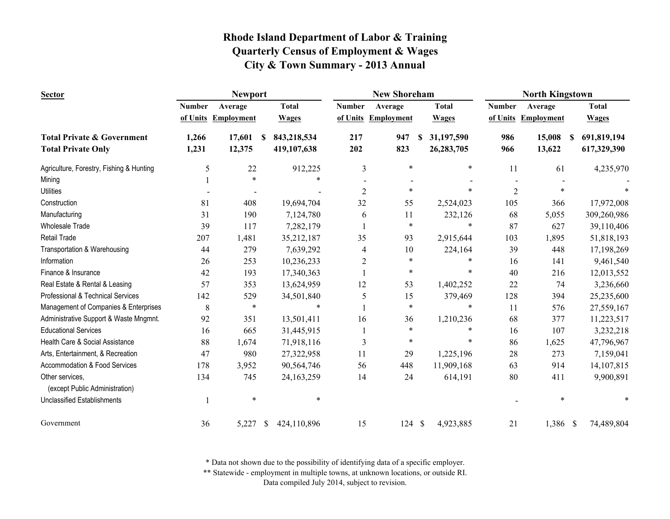| <b>Sector</b>                                     |               | <b>Newport</b>           |                             |                | <b>New Shoreham</b> |                            |                | <b>North Kingstown</b> |                   |
|---------------------------------------------------|---------------|--------------------------|-----------------------------|----------------|---------------------|----------------------------|----------------|------------------------|-------------------|
|                                                   | <b>Number</b> | Average                  | <b>Total</b>                | <b>Number</b>  | Average             | <b>Total</b>               | <b>Number</b>  | Average                | <b>Total</b>      |
|                                                   |               | of Units Employment      | <b>Wages</b>                |                | of Units Employment | <b>Wages</b>               |                | of Units Employment    | <b>Wages</b>      |
| <b>Total Private &amp; Government</b>             | 1,266         | 17,601                   | 843,218,534<br><sup>S</sup> | 217            | 947                 | 31,197,590<br><sup>S</sup> | 986            | 15,008                 | 691,819,194<br>S. |
| <b>Total Private Only</b>                         | 1,231         | 12,375                   | 419,107,638                 | 202            | 823                 | 26,283,705                 | 966            | 13,622                 | 617,329,390       |
| Agriculture, Forestry, Fishing & Hunting          | 5             | 22                       | 912,225                     | 3              | $\ast$              | *                          | 11             | 61                     | 4,235,970         |
| Mining                                            |               | $\ast$                   | $\ast$                      |                |                     |                            |                |                        |                   |
| <b>Utilities</b>                                  |               | $\overline{\phantom{0}}$ |                             | $\overline{2}$ | $\ast$              |                            | $\overline{2}$ | $\ast$                 |                   |
| Construction                                      | 81            | 408                      | 19,694,704                  | 32             | 55                  | 2,524,023                  | 105            | 366                    | 17,972,008        |
| Manufacturing                                     | 31            | 190                      | 7,124,780                   | 6              | 11                  | 232,126                    | 68             | 5,055                  | 309,260,986       |
| <b>Wholesale Trade</b>                            | 39            | 117                      | 7,282,179                   |                | $\ast$              | $\ast$                     | 87             | 627                    | 39,110,406        |
| Retail Trade                                      | 207           | 1,481                    | 35,212,187                  | 35             | 93                  | 2,915,644                  | 103            | 1,895                  | 51,818,193        |
| Transportation & Warehousing                      | 44            | 279                      | 7,639,292                   | $\overline{4}$ | 10                  | 224,164                    | 39             | 448                    | 17,198,269        |
| Information                                       | 26            | 253                      | 10,236,233                  | $\overline{c}$ | $\ast$              | *                          | 16             | 141                    | 9,461,540         |
| Finance & Insurance                               | 42            | 193                      | 17,340,363                  |                | ∗                   | $\ast$                     | 40             | 216                    | 12,013,552        |
| Real Estate & Rental & Leasing                    | 57            | 353                      | 13,624,959                  | 12             | 53                  | 1,402,252                  | 22             | 74                     | 3,236,660         |
| Professional & Technical Services                 | 142           | 529                      | 34,501,840                  | 5              | 15                  | 379,469                    | 128            | 394                    | 25,235,600        |
| Management of Companies & Enterprises             | 8             | $\ast$                   | $\ast$                      |                | $\ast$              | $\ast$                     | 11             | 576                    | 27,559,167        |
| Administrative Support & Waste Mngmnt.            | 92            | 351                      | 13,501,411                  | 16             | 36                  | 1,210,236                  | 68             | 377                    | 11,223,517        |
| <b>Educational Services</b>                       | 16            | 665                      | 31,445,915                  |                | $\ast$              | $\ast$                     | 16             | 107                    | 3,232,218         |
| Health Care & Social Assistance                   | 88            | 1,674                    | 71,918,116                  | 3              | $\ast$              | $\ast$                     | 86             | 1,625                  | 47,796,967        |
| Arts, Entertainment, & Recreation                 | 47            | 980                      | 27,322,958                  | 11             | 29                  | 1,225,196                  | 28             | 273                    | 7,159,041         |
| Accommodation & Food Services                     | 178           | 3,952                    | 90,564,746                  | 56             | 448                 | 11,909,168                 | 63             | 914                    | 14,107,815        |
| Other services,<br>(except Public Administration) | 134           | 745                      | 24, 163, 259                | 14             | 24                  | 614,191                    | 80             | 411                    | 9,900,891         |
| <b>Unclassified Establishments</b>                |               | $\ast$                   | $\ast$                      |                |                     |                            |                | *                      |                   |
| Government                                        | 36            | 5,227                    | 424,110,896<br>-S           | 15             | 124S                | 4,923,885                  | 21             | 1,386 \$               | 74,489,804        |

\* Data not shown due to the possibility of identifying data of a specific employer.

\*\* Statewide - employment in multiple towns, at unknown locations, or outside RI.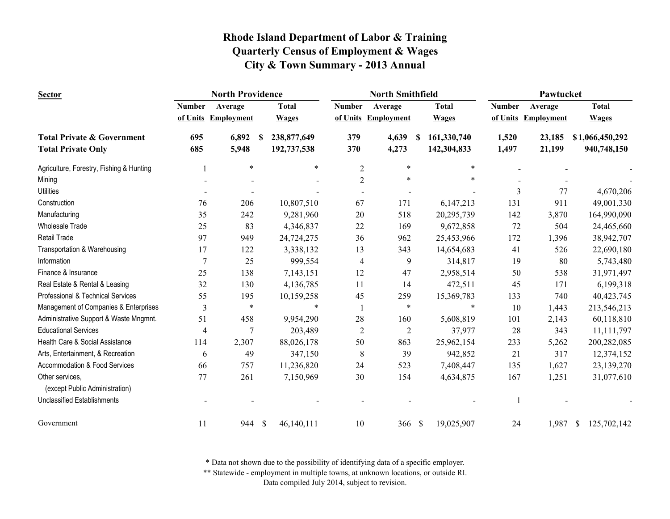| <b>Sector</b>                            |                | <b>North Providence</b> |             |              |                | <b>North Smithfield</b> |    |              |               | Pawtucket           |                             |
|------------------------------------------|----------------|-------------------------|-------------|--------------|----------------|-------------------------|----|--------------|---------------|---------------------|-----------------------------|
|                                          | <b>Number</b>  | Average                 |             | <b>Total</b> | <b>Number</b>  | Average                 |    | <b>Total</b> | <b>Number</b> | Average             | <b>Total</b>                |
|                                          | of Units       | <b>Employment</b>       |             | <b>Wages</b> |                | of Units Employment     |    | <b>Wages</b> |               | of Units Employment | <b>Wages</b>                |
| <b>Total Private &amp; Government</b>    | 695            | 6,892                   | -S          | 238,877,649  | 379            | 4,639                   | -S | 161,330,740  | 1,520         | 23,185              | \$1,066,450,292             |
| <b>Total Private Only</b>                | 685            | 5,948                   |             | 192,737,538  | 370            | 4,273                   |    | 142,304,833  | 1,497         | 21,199              | 940,748,150                 |
| Agriculture, Forestry, Fishing & Hunting |                | $\ast$                  |             | $\ast$       | $\mathfrak{2}$ | $\ast$                  |    | $\ast$       |               |                     |                             |
| Mining                                   |                |                         |             |              | $\overline{2}$ | $\ast$                  |    |              |               |                     |                             |
| <b>Utilities</b>                         |                |                         |             |              |                |                         |    |              | 3             | 77                  | 4,670,206                   |
| Construction                             | 76             | 206                     |             | 10,807,510   | 67             | 171                     |    | 6,147,213    | 131           | 911                 | 49,001,330                  |
| Manufacturing                            | 35             | 242                     |             | 9,281,960    | 20             | 518                     |    | 20,295,739   | 142           | 3,870               | 164,990,090                 |
| <b>Wholesale Trade</b>                   | 25             | 83                      |             | 4,346,837    | 22             | 169                     |    | 9,672,858    | 72            | 504                 | 24,465,660                  |
| <b>Retail Trade</b>                      | 97             | 949                     |             | 24,724,275   | 36             | 962                     |    | 25,453,966   | 172           | 1,396               | 38,942,707                  |
| Transportation & Warehousing             | 17             | 122                     |             | 3,338,132    | 13             | 343                     |    | 14,654,683   | 41            | 526                 | 22,690,180                  |
| Information                              | $\overline{7}$ | 25                      |             | 999,554      | 4              | 9                       |    | 314,817      | 19            | 80                  | 5,743,480                   |
| Finance & Insurance                      | 25             | 138                     |             | 7,143,151    | 12             | 47                      |    | 2,958,514    | 50            | 538                 | 31,971,497                  |
| Real Estate & Rental & Leasing           | 32             | 130                     |             | 4,136,785    | 11             | 14                      |    | 472,511      | 45            | 171                 | 6,199,318                   |
| Professional & Technical Services        | 55             | 195                     |             | 10,159,258   | 45             | 259                     |    | 15,369,783   | 133           | 740                 | 40,423,745                  |
| Management of Companies & Enterprises    | 3              | $\ast$                  |             | $\ast$       |                | $\ast$                  |    | $\ast$       | 10            | 1,443               | 213,546,213                 |
| Administrative Support & Waste Mngmnt.   | 51             | 458                     |             | 9,954,290    | 28             | 160                     |    | 5,608,819    | 101           | 2,143               | 60,118,810                  |
| <b>Educational Services</b>              | 4              |                         |             | 203,489      | $\overline{2}$ | $\overline{2}$          |    | 37,977       | 28            | 343                 | 11, 111, 797                |
| Health Care & Social Assistance          | 114            | 2,307                   |             | 88,026,178   | 50             | 863                     |    | 25,962,154   | 233           | 5,262               | 200,282,085                 |
| Arts, Entertainment, & Recreation        | 6              | 49                      |             | 347,150      | 8              | 39                      |    | 942,852      | 21            | 317                 | 12,374,152                  |
| Accommodation & Food Services            | 66             | 757                     |             | 11,236,820   | 24             | 523                     |    | 7,408,447    | 135           | 1,627               | 23,139,270                  |
| Other services,                          | 77             | 261                     |             | 7,150,969    | 30             | 154                     |    | 4,634,875    | 167           | 1,251               | 31,077,610                  |
| (except Public Administration)           |                |                         |             |              |                |                         |    |              |               |                     |                             |
| <b>Unclassified Establishments</b>       |                |                         |             |              |                |                         |    |              |               |                     |                             |
| Government                               | 11             | 944                     | $\sqrt{\ }$ | 46,140,111   | 10             | 366S                    |    | 19,025,907   | 24            | 1,987               | $\mathbb{S}$<br>125,702,142 |

\* Data not shown due to the possibility of identifying data of a specific employer.

\*\* Statewide - employment in multiple towns, at unknown locations, or outside RI.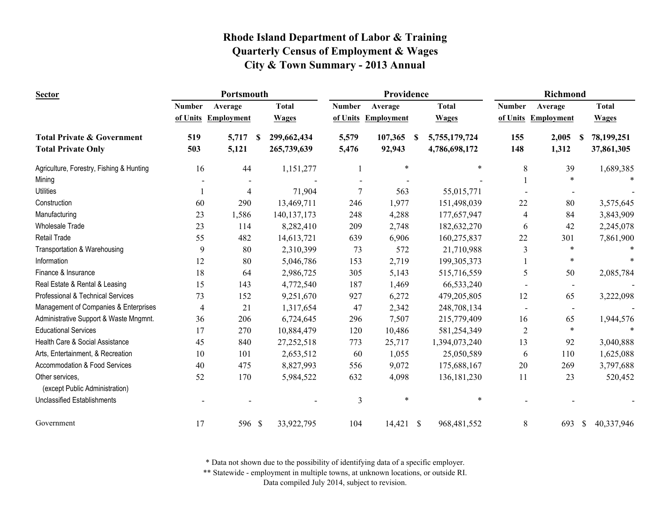| <b>Sector</b>                            |               | Portsmouth        |               |                | Providence          |                           |                | Richmond            |                  |
|------------------------------------------|---------------|-------------------|---------------|----------------|---------------------|---------------------------|----------------|---------------------|------------------|
|                                          | <b>Number</b> | Average           | <b>Total</b>  | <b>Number</b>  | Average             | <b>Total</b>              | <b>Number</b>  | Average             | <b>Total</b>     |
|                                          | of Units      | <b>Employment</b> | <b>Wages</b>  |                | of Units Employment | <b>Wages</b>              |                | of Units Employment | <b>Wages</b>     |
| <b>Total Private &amp; Government</b>    | 519           | 5,717<br>-S       | 299,662,434   | 5,579          | 107,365             | <b>S</b><br>5,755,179,724 | 155            | 2,005               | 78,199,251<br>-S |
| <b>Total Private Only</b>                | 503           | 5,121             | 265,739,639   | 5,476          | 92,943              | 4,786,698,172             | 148            | 1,312               | 37,861,305       |
| Agriculture, Forestry, Fishing & Hunting | 16            | 44                | 1,151,277     |                | $\ast$              | $\ast$                    | 8              | 39                  | 1,689,385        |
| Mining                                   |               |                   |               |                |                     |                           |                | $\ast$              |                  |
| <b>Utilities</b>                         |               | $\overline{4}$    | 71,904        | 7              | 563                 | 55,015,771                |                |                     |                  |
| Construction                             | 60            | 290               | 13,469,711    | 246            | 1,977               | 151,498,039               | 22             | 80                  | 3,575,645        |
| Manufacturing                            | 23            | 1,586             | 140, 137, 173 | 248            | 4,288               | 177,657,947               | 4              | 84                  | 3,843,909        |
| <b>Wholesale Trade</b>                   | 23            | 114               | 8,282,410     | 209            | 2,748               | 182,632,270               | 6              | 42                  | 2,245,078        |
| Retail Trade                             | 55            | 482               | 14,613,721    | 639            | 6,906               | 160,275,837               | 22             | 301                 | 7,861,900        |
| Transportation & Warehousing             | 9             | 80                | 2,310,399     | 73             | 572                 | 21,710,988                | 3              | $\ast$              |                  |
| Information                              | 12            | 80                | 5,046,786     | 153            | 2,719               | 199, 305, 373             |                | $\ast$              |                  |
| Finance & Insurance                      | 18            | 64                | 2,986,725     | 305            | 5,143               | 515,716,559               | 5              | 50                  | 2,085,784        |
| Real Estate & Rental & Leasing           | 15            | 143               | 4,772,540     | 187            | 1,469               | 66,533,240                |                | $\blacksquare$      |                  |
| Professional & Technical Services        | 73            | 152               | 9,251,670     | 927            | 6,272               | 479,205,805               | 12             | 65                  | 3,222,098        |
| Management of Companies & Enterprises    | 4             | 21                | 1,317,654     | 47             | 2,342               | 248,708,134               |                | $\blacksquare$      |                  |
| Administrative Support & Waste Mngmnt.   | 36            | 206               | 6,724,645     | 296            | 7,507               | 215,779,409               | 16             | 65                  | 1,944,576        |
| <b>Educational Services</b>              | 17            | 270               | 10,884,479    | 120            | 10,486              | 581,254,349               | $\overline{2}$ | $\ast$              |                  |
| Health Care & Social Assistance          | 45            | 840               | 27,252,518    | 773            | 25,717              | 1,394,073,240             | 13             | 92                  | 3,040,888        |
| Arts, Entertainment, & Recreation        | 10            | 101               | 2,653,512     | 60             | 1,055               | 25,050,589                | 6              | 110                 | 1,625,088        |
| Accommodation & Food Services            | 40            | 475               | 8,827,993     | 556            | 9,072               | 175,688,167               | 20             | 269                 | 3,797,688        |
| Other services,                          | 52            | 170               | 5,984,522     | 632            | 4,098               | 136, 181, 230             | 11             | 23                  | 520,452          |
| (except Public Administration)           |               |                   |               |                |                     |                           |                |                     |                  |
| Unclassified Establishments              |               |                   |               | $\mathfrak{Z}$ | $\ast$              | $\ast$                    |                |                     |                  |
| Government                               | 17            | 596 \$            | 33,922,795    | 104            | 14,421 \$           | 968,481,552               | 8              | 693                 | \$<br>40,337,946 |

\* Data not shown due to the possibility of identifying data of a specific employer.

\*\* Statewide - employment in multiple towns, at unknown locations, or outside RI.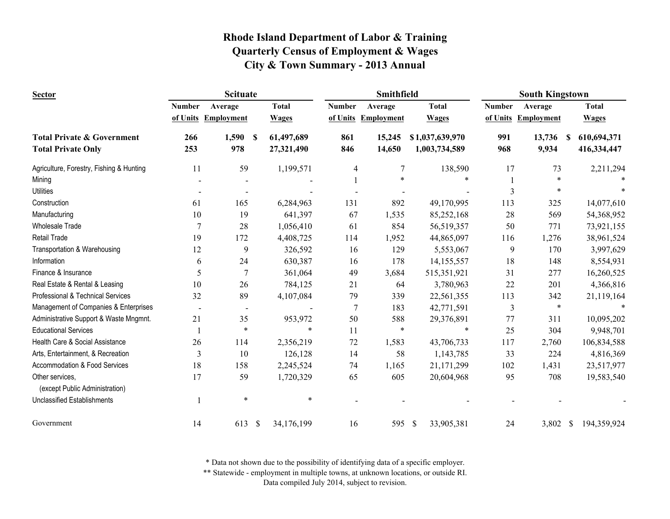| <b>Sector</b>                                     |               | <b>Scituate</b>     |                            |               | Smithfield          |                 |               | <b>South Kingstown</b> |                   |
|---------------------------------------------------|---------------|---------------------|----------------------------|---------------|---------------------|-----------------|---------------|------------------------|-------------------|
|                                                   | <b>Number</b> | Average             | <b>Total</b>               | <b>Number</b> | Average             | <b>Total</b>    | <b>Number</b> | Average                | <b>Total</b>      |
|                                                   |               | of Units Employment | <b>Wages</b>               |               | of Units Employment | <b>Wages</b>    |               | of Units Employment    | <b>Wages</b>      |
| <b>Total Private &amp; Government</b>             | 266           | 1,590               | 61,497,689<br><sup>S</sup> | 861           | 15,245              | \$1,037,639,970 | 991           | 13,736                 | 610,694,371<br>S. |
| <b>Total Private Only</b>                         | 253           | 978                 | 27,321,490                 | 846           | 14,650              | 1,003,734,589   | 968           | 9,934                  | 416,334,447       |
| Agriculture, Forestry, Fishing & Hunting          | 11            | 59                  | 1,199,571                  | 4             | $\overline{7}$      | 138,590         | 17            | 73                     | 2,211,294         |
| Mining                                            |               |                     |                            |               | *                   | $\ast$          |               | *                      |                   |
| <b>Utilities</b>                                  |               |                     |                            |               |                     |                 | 3             | *                      |                   |
| Construction                                      | 61            | 165                 | 6,284,963                  | 131           | 892                 | 49,170,995      | 113           | 325                    | 14,077,610        |
| Manufacturing                                     | 10            | 19                  | 641,397                    | 67            | 1,535               | 85,252,168      | 28            | 569                    | 54,368,952        |
| <b>Wholesale Trade</b>                            | 7             | 28                  | 1,056,410                  | 61            | 854                 | 56,519,357      | 50            | 771                    | 73,921,155        |
| <b>Retail Trade</b>                               | 19            | 172                 | 4,408,725                  | 114           | 1,952               | 44,865,097      | 116           | 1,276                  | 38,961,524        |
| Transportation & Warehousing                      | 12            | 9                   | 326,592                    | 16            | 129                 | 5,553,067       | 9             | 170                    | 3,997,629         |
| Information                                       | 6             | 24                  | 630,387                    | 16            | 178                 | 14, 155, 557    | 18            | 148                    | 8,554,931         |
| Finance & Insurance                               | 5             | 7                   | 361,064                    | 49            | 3,684               | 515,351,921     | 31            | 277                    | 16,260,525        |
| Real Estate & Rental & Leasing                    | 10            | 26                  | 784,125                    | 21            | 64                  | 3,780,963       | 22            | 201                    | 4,366,816         |
| Professional & Technical Services                 | 32            | 89                  | 4,107,084                  | 79            | 339                 | 22,561,355      | 113           | 342                    | 21,119,164        |
| Management of Companies & Enterprises             |               | $\blacksquare$      |                            | 7             | 183                 | 42,771,591      | 3             | $\ast$                 |                   |
| Administrative Support & Waste Mngmnt.            | 21            | 35                  | 953,972                    | 50            | 588                 | 29,376,891      | 77            | 311                    | 10,095,202        |
| <b>Educational Services</b>                       |               | $\ast$              | $\ast$                     | 11            | $\ast$              | $\ast$          | 25            | 304                    | 9,948,701         |
| Health Care & Social Assistance                   | 26            | 114                 | 2,356,219                  | 72            | 1,583               | 43,706,733      | 117           | 2,760                  | 106,834,588       |
| Arts, Entertainment, & Recreation                 | 3             | 10                  | 126,128                    | 14            | 58                  | 1,143,785       | 33            | 224                    | 4,816,369         |
| Accommodation & Food Services                     | 18            | 158                 | 2,245,524                  | 74            | 1,165               | 21,171,299      | 102           | 1,431                  | 23,517,977        |
| Other services,<br>(except Public Administration) | 17            | 59                  | 1,720,329                  | 65            | 605                 | 20,604,968      | 95            | 708                    | 19,583,540        |
| <b>Unclassified Establishments</b>                |               | $\ast$              | $\ast$                     |               |                     |                 |               |                        |                   |
| Government                                        | 14            | 613                 | 34,176,199<br>$\mathbb{S}$ | 16            | 595 \$              | 33,905,381      | 24            | 3,802 \$               | 194,359,924       |

\* Data not shown due to the possibility of identifying data of a specific employer.

\*\* Statewide - employment in multiple towns, at unknown locations, or outside RI.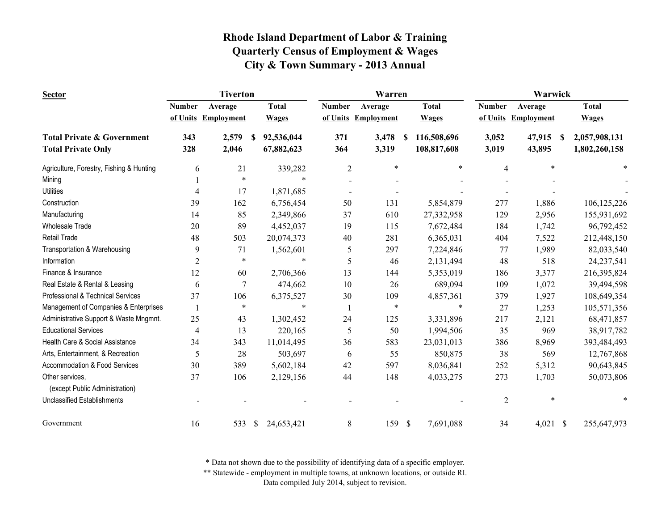| <b>Sector</b>                            |                | <b>Tiverton</b>   |    |              | Warren                   |                   |               |              | Warwick        |                   |   |               |  |  |
|------------------------------------------|----------------|-------------------|----|--------------|--------------------------|-------------------|---------------|--------------|----------------|-------------------|---|---------------|--|--|
|                                          | <b>Number</b>  | Average           |    | <b>Total</b> | <b>Number</b>            | Average           |               | <b>Total</b> | <b>Number</b>  | Average           |   | <b>Total</b>  |  |  |
|                                          | of Units       | <b>Employment</b> |    | <b>Wages</b> | of Units                 | <b>Employment</b> |               | <b>Wages</b> | of Units       | <b>Employment</b> |   | <b>Wages</b>  |  |  |
| <b>Total Private &amp; Government</b>    | 343            | 2,579             | S  | 92,536,044   | 371                      | 3,478             | S             | 116,508,696  | 3,052          | 47,915            | S | 2,057,908,131 |  |  |
| <b>Total Private Only</b>                | 328            | 2,046             |    | 67,882,623   | 364                      | 3,319             |               | 108,817,608  | 3,019          | 43,895            |   | 1,802,260,158 |  |  |
| Agriculture, Forestry, Fishing & Hunting | 6              | 21                |    | 339,282      | $\overline{c}$           | $\ast$            |               | $\ast$       | $\overline{4}$ | $\ast$            |   | $\ast$        |  |  |
| Mining                                   |                | $\ast$            |    | $\ast$       |                          |                   |               |              |                |                   |   |               |  |  |
| <b>Utilities</b>                         | 4              | 17                |    | 1,871,685    | $\overline{\phantom{a}}$ |                   |               |              |                |                   |   |               |  |  |
| Construction                             | 39             | 162               |    | 6,756,454    | 50                       | 131               |               | 5,854,879    | 277            | 1,886             |   | 106, 125, 226 |  |  |
| Manufacturing                            | 14             | 85                |    | 2,349,866    | 37                       | 610               |               | 27,332,958   | 129            | 2,956             |   | 155,931,692   |  |  |
| <b>Wholesale Trade</b>                   | 20             | 89                |    | 4,452,037    | 19                       | 115               |               | 7,672,484    | 184            | 1,742             |   | 96,792,452    |  |  |
| Retail Trade                             | 48             | 503               |    | 20,074,373   | 40                       | 281               |               | 6,365,031    | 404            | 7,522             |   | 212,448,150   |  |  |
| Transportation & Warehousing             | 9              | 71                |    | 1,562,601    | 5                        | 297               |               | 7,224,846    | 77             | 1,989             |   | 82,033,540    |  |  |
| Information                              | $\overline{2}$ | $\ast$            |    | $\ast$       | 5                        | 46                |               | 2,131,494    | 48             | 518               |   | 24, 237, 541  |  |  |
| Finance & Insurance                      | 12             | 60                |    | 2,706,366    | 13                       | 144               |               | 5,353,019    | 186            | 3,377             |   | 216,395,824   |  |  |
| Real Estate & Rental & Leasing           | 6              | $\tau$            |    | 474,662      | 10                       | 26                |               | 689,094      | 109            | 1,072             |   | 39,494,598    |  |  |
| Professional & Technical Services        | 37             | 106               |    | 6,375,527    | 30                       | 109               |               | 4,857,361    | 379            | 1,927             |   | 108,649,354   |  |  |
| Management of Companies & Enterprises    | $\overline{1}$ | $\ast$            |    | $\ast$       |                          | $\ast$            |               | $\ast$       | 27             | 1,253             |   | 105,571,356   |  |  |
| Administrative Support & Waste Mngmnt.   | 25             | 43                |    | 1,302,452    | 24                       | 125               |               | 3,331,896    | 217            | 2,121             |   | 68,471,857    |  |  |
| <b>Educational Services</b>              | 4              | 13                |    | 220,165      | 5                        | 50                |               | 1,994,506    | 35             | 969               |   | 38,917,782    |  |  |
| Health Care & Social Assistance          | 34             | 343               |    | 11,014,495   | 36                       | 583               |               | 23,031,013   | 386            | 8,969             |   | 393,484,493   |  |  |
| Arts, Entertainment, & Recreation        | 5              | 28                |    | 503,697      | 6                        | 55                |               | 850,875      | 38             | 569               |   | 12,767,868    |  |  |
| Accommodation & Food Services            | 30             | 389               |    | 5,602,184    | 42                       | 597               |               | 8,036,841    | 252            | 5,312             |   | 90,643,845    |  |  |
| Other services,                          | 37             | 106               |    | 2,129,156    | 44                       | 148               |               | 4,033,275    | 273            | 1,703             |   | 50,073,806    |  |  |
| (except Public Administration)           |                |                   |    |              |                          |                   |               |              |                |                   |   |               |  |  |
| <b>Unclassified Establishments</b>       |                |                   |    |              |                          |                   |               |              | $\overline{2}$ | $\ast$            |   |               |  |  |
| Government                               | 16             | 533               | \$ | 24,653,421   | 8                        | 159               | $\mathcal{S}$ | 7,691,088    | 34             | $4,021$ \$        |   | 255,647,973   |  |  |

\* Data not shown due to the possibility of identifying data of a specific employer.

\*\* Statewide - employment in multiple towns, at unknown locations, or outside RI.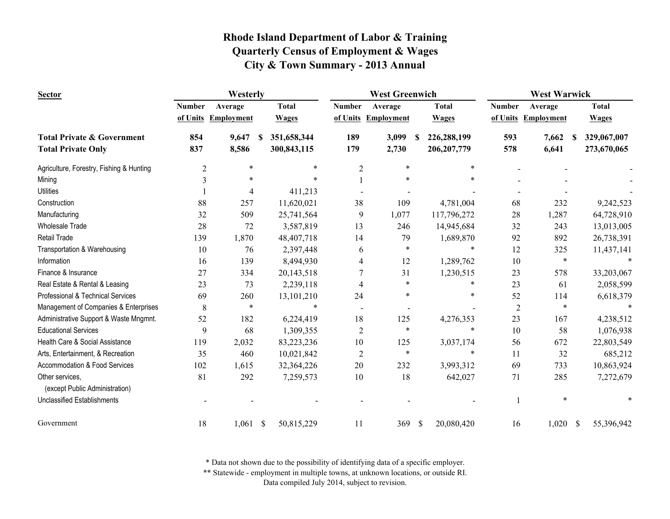| <b>Sector</b>                                     |               | Westerly            |               |              |                | <b>West Greenwich</b> |               |               | <b>West Warwick</b> |                        |                  |  |
|---------------------------------------------------|---------------|---------------------|---------------|--------------|----------------|-----------------------|---------------|---------------|---------------------|------------------------|------------------|--|
|                                                   | <b>Number</b> | Average             |               | <b>Total</b> | <b>Number</b>  | Average               |               | <b>Total</b>  | <b>Number</b>       | Average                | <b>Total</b>     |  |
|                                                   |               | of Units Employment |               | <b>Wages</b> | of Units       | Employment            |               | <b>Wages</b>  | of Units            | Employment             | <b>Wages</b>     |  |
| <b>Total Private &amp; Government</b>             | 854           | 9,647               | S             | 351,658,344  | 189            | 3,099                 | S             | 226,288,199   | 593                 | 7,662<br><sup>\$</sup> | 329,067,007      |  |
| <b>Total Private Only</b>                         | 837           | 8,586               |               | 300,843,115  | 179            | 2,730                 |               | 206, 207, 779 | 578                 | 6,641                  | 273,670,065      |  |
| Agriculture, Forestry, Fishing & Hunting          | 2             | $\ast$              |               | $\ast$       | $\overline{c}$ | $\ast$                |               | $\ast$        |                     |                        |                  |  |
| Mining                                            | 3             |                     |               |              |                |                       |               |               |                     |                        |                  |  |
| <b>Utilities</b>                                  |               | 4                   |               | 411,213      |                |                       |               |               |                     |                        |                  |  |
| Construction                                      | 88            | 257                 |               | 11,620,021   | 38             | 109                   |               | 4,781,004     | 68                  | 232                    | 9,242,523        |  |
| Manufacturing                                     | 32            | 509                 |               | 25,741,564   | 9              | 1,077                 |               | 117,796,272   | 28                  | 1,287                  | 64,728,910       |  |
| <b>Wholesale Trade</b>                            | 28            | 72                  |               | 3,587,819    | 13             | 246                   |               | 14,945,684    | 32                  | 243                    | 13,013,005       |  |
| <b>Retail Trade</b>                               | 139           | 1,870               |               | 48,407,718   | 14             | 79                    |               | 1,689,870     | 92                  | 892                    | 26,738,391       |  |
| Transportation & Warehousing                      | 10            | 76                  |               | 2,397,448    | 6              | $\ast$                |               | $\ast$        | 12                  | 325                    | 11,437,141       |  |
| Information                                       | 16            | 139                 |               | 8,494,930    | 4              | 12                    |               | 1,289,762     | 10                  | $\ast$                 |                  |  |
| Finance & Insurance                               | 27            | 334                 |               | 20,143,518   | $\overline{7}$ | 31                    |               | 1,230,515     | 23                  | 578                    | 33,203,067       |  |
| Real Estate & Rental & Leasing                    | 23            | 73                  |               | 2,239,118    | 4              | $\ast$                |               | $\ast$        | 23                  | 61                     | 2,058,599        |  |
| Professional & Technical Services                 | 69            | 260                 |               | 13,101,210   | 24             | *                     |               | $\ast$        | 52                  | 114                    | 6,618,379        |  |
| Management of Companies & Enterprises             | 8             | $\ast$              |               | $\ast$       |                |                       |               |               | $\overline{c}$      | $\ast$                 |                  |  |
| Administrative Support & Waste Mngmnt.            | 52            | 182                 |               | 6,224,419    | 18             | 125                   |               | 4,276,353     | 23                  | 167                    | 4,238,512        |  |
| <b>Educational Services</b>                       | 9             | 68                  |               | 1,309,355    | $\overline{2}$ | $\ast$                |               | $\ast$        | 10                  | 58                     | 1,076,938        |  |
| Health Care & Social Assistance                   | 119           | 2,032               |               | 83,223,236   | 10             | 125                   |               | 3,037,174     | 56                  | 672                    | 22,803,549       |  |
| Arts, Entertainment, & Recreation                 | 35            | 460                 |               | 10,021,842   | $\overline{2}$ | $\ast$                |               | $\ast$        | 11                  | 32                     | 685,212          |  |
| Accommodation & Food Services                     | 102           | 1,615               |               | 32,364,226   | 20             | 232                   |               | 3,993,312     | 69                  | 733                    | 10,863,924       |  |
| Other services,<br>(except Public Administration) | 81            | 292                 |               | 7,259,573    | 10             | 18                    |               | 642,027       | 71                  | 285                    | 7,272,679        |  |
|                                                   |               |                     |               |              |                |                       |               |               |                     | $\ast$                 |                  |  |
| <b>Unclassified Establishments</b>                |               |                     |               |              |                |                       |               |               |                     |                        |                  |  |
| Government                                        | 18            | 1,061               | $\mathcal{S}$ | 50,815,229   | 11             | 369                   | $\mathcal{S}$ | 20,080,420    | 16                  | 1,020                  | -S<br>55,396,942 |  |

\* Data not shown due to the possibility of identifying data of a specific employer.

\*\* Statewide - employment in multiple towns, at unknown locations, or outside RI.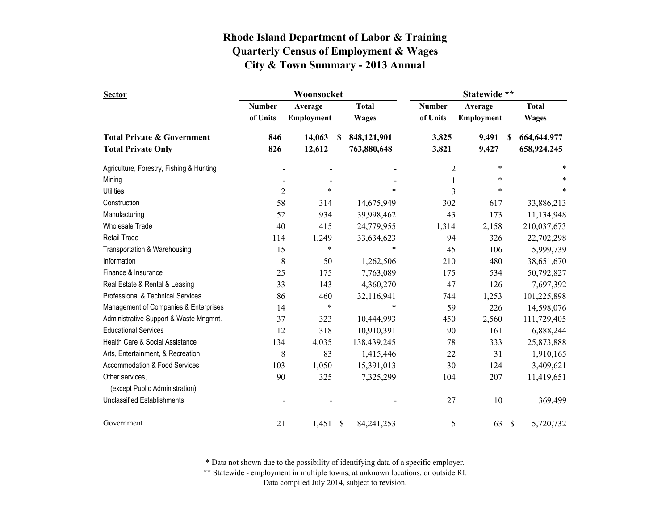| <b>Sector</b>                            |                | Woonsocket        |    |              | Statewide **   |                   |               |              |  |
|------------------------------------------|----------------|-------------------|----|--------------|----------------|-------------------|---------------|--------------|--|
|                                          | <b>Number</b>  | Average           |    | <b>Total</b> | <b>Number</b>  | Average           |               | <b>Total</b> |  |
|                                          | of Units       | <b>Employment</b> |    | <b>Wages</b> | of Units       | <b>Employment</b> |               | <b>Wages</b> |  |
| <b>Total Private &amp; Government</b>    | 846            | 14,063            | S  | 848,121,901  | 3,825          | 9,491             | S             | 664,644,977  |  |
| <b>Total Private Only</b>                | 826            | 12,612            |    | 763,880,648  | 3,821          | 9,427             |               | 658,924,245  |  |
| Agriculture, Forestry, Fishing & Hunting |                |                   |    |              | $\overline{c}$ | $\ast$            |               | $\ast$       |  |
| Mining                                   |                |                   |    |              | $\mathbf 1$    | $\ast$            |               | $\ast$       |  |
| <b>Utilities</b>                         | $\overline{2}$ | $\ast$            |    | *            | 3              | $\ast$            |               | $\ast$       |  |
| Construction                             | 58             | 314               |    | 14,675,949   | 302            | 617               |               | 33,886,213   |  |
| Manufacturing                            | 52             | 934               |    | 39,998,462   | 43             | 173               |               | 11,134,948   |  |
| <b>Wholesale Trade</b>                   | 40             | 415               |    | 24,779,955   | 1,314          | 2,158             |               | 210,037,673  |  |
| <b>Retail Trade</b>                      | 114            | 1,249             |    | 33,634,623   | 94             | 326               |               | 22,702,298   |  |
| Transportation & Warehousing             | 15             | $\ast$            |    | *            | 45             | 106               |               | 5,999,739    |  |
| Information                              | 8              | 50                |    | 1,262,506    | 210            | 480               |               | 38,651,670   |  |
| Finance & Insurance                      | 25             | 175               |    | 7,763,089    | 175            | 534               |               | 50,792,827   |  |
| Real Estate & Rental & Leasing           | 33             | 143               |    | 4,360,270    | 47             | 126               |               | 7,697,392    |  |
| Professional & Technical Services        | 86             | 460               |    | 32,116,941   | 744            | 1,253             |               | 101,225,898  |  |
| Management of Companies & Enterprises    | 14             | $\ast$            |    | *            | 59             | 226               |               | 14,598,076   |  |
| Administrative Support & Waste Mngmnt.   | 37             | 323               |    | 10,444,993   | 450            | 2,560             |               | 111,729,405  |  |
| <b>Educational Services</b>              | 12             | 318               |    | 10,910,391   | 90             | 161               |               | 6,888,244    |  |
| Health Care & Social Assistance          | 134            | 4,035             |    | 138,439,245  | 78             | 333               |               | 25,873,888   |  |
| Arts, Entertainment, & Recreation        | 8              | 83                |    | 1,415,446    | 22             | 31                |               | 1,910,165    |  |
| Accommodation & Food Services            | 103            | 1,050             |    | 15,391,013   | 30             | 124               |               | 3,409,621    |  |
| Other services,                          | 90             | 325               |    | 7,325,299    | 104            | 207               |               | 11,419,651   |  |
| (except Public Administration)           |                |                   |    |              |                |                   |               |              |  |
| <b>Unclassified Establishments</b>       |                |                   |    |              | 27             | 10                |               | 369,499      |  |
| Government                               | 21             | 1,451             | \$ | 84, 241, 253 | 5              | 63                | $\mathcal{S}$ | 5,720,732    |  |

\* Data not shown due to the possibility of identifying data of a specific employer.

\*\* Statewide - employment in multiple towns, at unknown locations, or outside RI.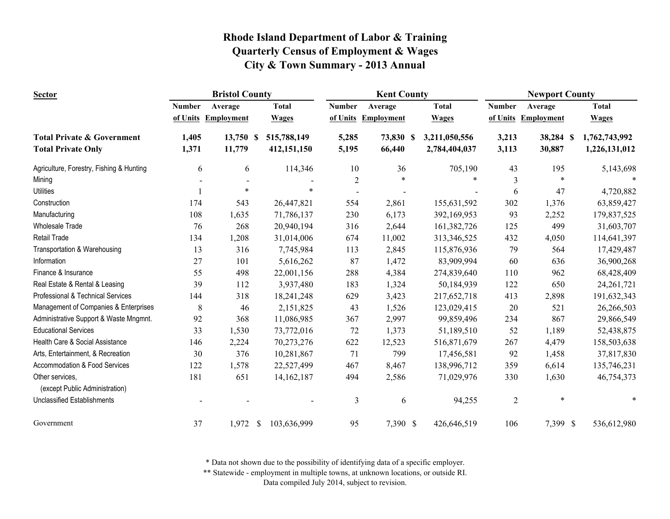| <b>Sector</b>                                     |               | <b>Bristol County</b> |               |              |                | <b>Kent County</b> |               | <b>Newport County</b> |                   |  |               |
|---------------------------------------------------|---------------|-----------------------|---------------|--------------|----------------|--------------------|---------------|-----------------------|-------------------|--|---------------|
|                                                   | <b>Number</b> | Average               |               | <b>Total</b> | <b>Number</b>  | Average            | <b>Total</b>  | <b>Number</b>         | Average           |  | <b>Total</b>  |
|                                                   | of Units      | <b>Employment</b>     |               | <b>Wages</b> | of Units       | <b>Employment</b>  | <b>Wages</b>  | of Units              | <b>Employment</b> |  | <b>Wages</b>  |
| <b>Total Private &amp; Government</b>             | 1,405         | 13,750 \$             |               | 515,788,149  | 5,285          | 73,830 \$          | 3,211,050,556 | 3,213                 | 38,284 \$         |  | 1,762,743,992 |
| <b>Total Private Only</b>                         | 1,371         | 11,779                |               | 412,151,150  | 5,195          | 66,440             | 2,784,404,037 | 3,113                 | 30,887            |  | 1,226,131,012 |
| Agriculture, Forestry, Fishing & Hunting          | 6             | 6                     |               | 114,346      | 10             | 36                 | 705,190       | 43                    | 195               |  | 5,143,698     |
| Mining                                            |               |                       |               |              | $\overline{2}$ | $\ast$             | $\ast$        | 3                     | $\ast$            |  | $\ast$        |
| <b>Utilities</b>                                  |               | $\ast$                |               |              |                |                    |               | 6                     | 47                |  | 4,720,882     |
| Construction                                      | 174           | 543                   |               | 26,447,821   | 554            | 2,861              | 155,631,592   | 302                   | 1,376             |  | 63,859,427    |
| Manufacturing                                     | 108           | 1,635                 |               | 71,786,137   | 230            | 6,173              | 392,169,953   | 93                    | 2,252             |  | 179,837,525   |
| <b>Wholesale Trade</b>                            | 76            | 268                   |               | 20,940,194   | 316            | 2,644              | 161,382,726   | 125                   | 499               |  | 31,603,707    |
| Retail Trade                                      | 134           | 1,208                 |               | 31,014,006   | 674            | 11,002             | 313,346,525   | 432                   | 4,050             |  | 114,641,397   |
| Transportation & Warehousing                      | 13            | 316                   |               | 7,745,984    | 113            | 2,845              | 115,876,936   | 79                    | 564               |  | 17,429,487    |
| Information                                       | 27            | 101                   |               | 5,616,262    | 87             | 1,472              | 83,909,994    | 60                    | 636               |  | 36,900,268    |
| Finance & Insurance                               | 55            | 498                   |               | 22,001,156   | 288            | 4,384              | 274,839,640   | 110                   | 962               |  | 68,428,409    |
| Real Estate & Rental & Leasing                    | 39            | 112                   |               | 3,937,480    | 183            | 1,324              | 50,184,939    | 122                   | 650               |  | 24, 261, 721  |
| Professional & Technical Services                 | 144           | 318                   |               | 18,241,248   | 629            | 3,423              | 217,652,718   | 413                   | 2,898             |  | 191,632,343   |
| Management of Companies & Enterprises             | 8             | 46                    |               | 2,151,825    | 43             | 1,526              | 123,029,415   | 20                    | 521               |  | 26,266,503    |
| Administrative Support & Waste Mngmnt.            | 92            | 368                   |               | 11,086,985   | 367            | 2,997              | 99,859,496    | 234                   | 867               |  | 29,866,549    |
| <b>Educational Services</b>                       | 33            | 1,530                 |               | 73,772,016   | 72             | 1,373              | 51,189,510    | 52                    | 1,189             |  | 52,438,875    |
| Health Care & Social Assistance                   | 146           | 2,224                 |               | 70,273,276   | 622            | 12,523             | 516,871,679   | 267                   | 4,479             |  | 158,503,638   |
| Arts, Entertainment, & Recreation                 | 30            | 376                   |               | 10,281,867   | 71             | 799                | 17,456,581    | 92                    | 1,458             |  | 37,817,830    |
| Accommodation & Food Services                     | 122           | 1,578                 |               | 22,527,499   | 467            | 8,467              | 138,996,712   | 359                   | 6,614             |  | 135,746,231   |
| Other services,<br>(except Public Administration) | 181           | 651                   |               | 14, 162, 187 | 494            | 2,586              | 71,029,976    | 330                   | 1,630             |  | 46,754,373    |
| <b>Unclassified Establishments</b>                |               |                       |               |              | 3              | 6                  | 94,255        | $\overline{c}$        | $\ast$            |  | $\ast$        |
| Government                                        | 37            | 1,972                 | <sup>\$</sup> | 103,636,999  | 95             | 7,390 \$           | 426,646,519   | 106                   | 7,399 \$          |  | 536,612,980   |

\* Data not shown due to the possibility of identifying data of a specific employer.

\*\* Statewide - employment in multiple towns, at unknown locations, or outside RI.